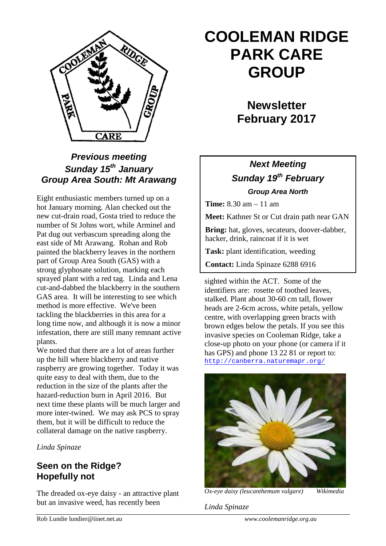

## *Previous meeting Sunday 15th January Group Area South: Mt Arawang*

Eight enthusiastic members turned up on a hot January morning. Alan checked out the new cut-drain road, Gosta tried to reduce the number of St Johns wort, while Arminel and Pat dug out verbascum spreading along the east side of Mt Arawang. Rohan and Rob painted the blackberry leaves in the northern part of Group Area South (GAS) with a strong glyphosate solution, marking each sprayed plant with a red tag. Linda and Lena cut-and-dabbed the blackberry in the southern GAS area. It will be interesting to see which method is more effective. We've been tackling the blackberries in this area for a long time now, and although it is now a minor infestation, there are still many remnant active plants.

We noted that there are a lot of areas further up the hill where blackberry and native raspberry are growing together. Today it was quite easy to deal with them, due to the reduction in the size of the plants after the hazard-reduction burn in April 2016. But next time these plants will be much larger and more inter-twined. We may ask PCS to spray them, but it will be difficult to reduce the collateral damage on the native raspberry.

*Linda Spinaze*

### **Seen on the Ridge? Hopefully not**

The dreaded ox-eye daisy - an attractive plant but an invasive weed, has recently been

# **COOLEMAN RIDGE PARK CARE GROUP**

## **Newsletter February 2017**

## *Next Meeting Sunday 19th February Group Area North*

**Time:** 8.30 am – 11 am

**Meet:** Kathner St or Cut drain path near GAN

**Bring:** hat, gloves, secateurs, doover-dabber, hacker, drink, raincoat if it is wet

**Task:** plant identification, weeding

**Contact:** Linda Spinaze 6288 6916

sighted within the ACT. Some of the identifiers are: rosette of toothed leaves, stalked. Plant about 30-60 cm tall, flower heads are 2-6cm across, white petals, yellow centre, with overlapping green bracts with brown edges below the petals. If you see this invasive species on Cooleman Ridge, take a close-up photo on your phone (or camera if it has GPS) and phone 13 22 81 or report to: <http://canberra.naturemapr.org/>



*Ox-eye daisy (leucanthemum vulgare) Wikimedia*

*Linda Spinaze*